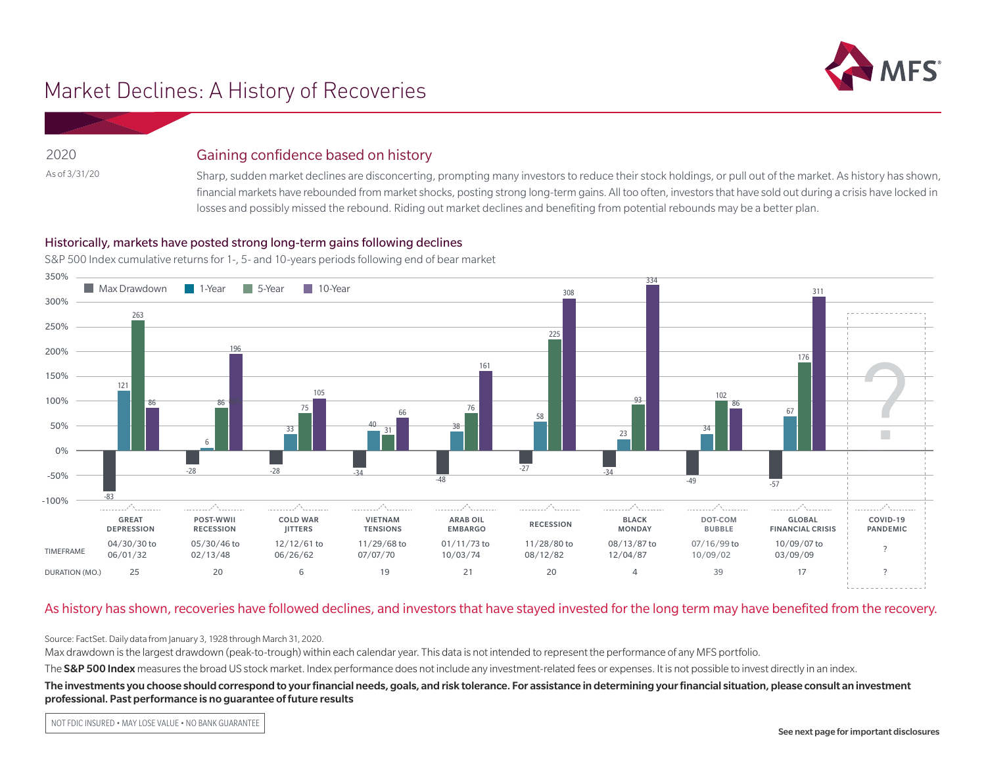

# Market Declines: A History of Recoveries

2020 As of 3/31/20

## Gaining confidence based on history

Sharp, sudden market declines are disconcerting, prompting many investors to reduce their stock holdings, or pull out of the market. As history has shown, financial markets have rebounded from market shocks, posting strong long-term gains. All too often, investors that have sold out during a crisis have locked in losses and possibly missed the rebound. Riding out market declines and benefiting from potential rebounds may be a better plan.

### Historically, markets have posted strong long-term gains following declines

S&P 500 Index cumulative returns for 1-, 5- and 10-years periods following end of bear market



#### As history has shown, recoveries have followed declines, and investors that have stayed invested for the long term may have benefited from the recovery.

Source: FactSet. Daily data from January 3, 1928 through March 31, 2020.

Max drawdown is the largest drawdown (peak-to-trough) within each calendar year. This data is not intended to represent the performance of any MFS portfolio.

The S&P 500 Index measures the broad US stock market. Index performance does not include any investment-related fees or expenses. It is not possible to invest directly in an index.

#### The investments you choose should correspond to your financial needs, goals, and risk tolerance. For assistance in determining your financial situation, please consult an investment professional. Past performance is no guarantee of future results

NOT FDIC INSURED • MAY LOSE VALUE • NO BANK GUARANTEE